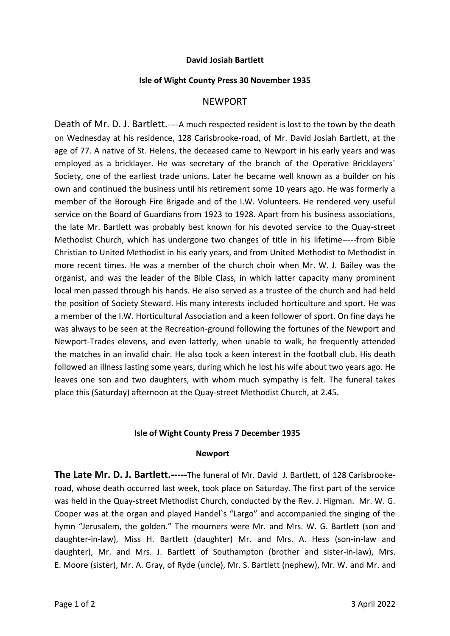# **David Josiah Bartlett**

#### **Isle of Wight County Press 30 November 1935**

## NEWPORT

Death of Mr. D. J. Bartlett.----A much respected resident is lost to the town by the death on Wednesday at his residence, 128 Carisbrooke-road, of Mr. David Josiah Bartlett, at the age of 77. A native of St. Helens, the deceased came to Newport in his early years and was employed as a bricklayer. He was secretary of the branch of the Operative Bricklayers` Society, one of the earliest trade unions. Later he became well known as a builder on his own and continued the business until his retirement some 10 years ago. He was formerly a member of the Borough Fire Brigade and of the I.W. Volunteers. He rendered very useful service on the Board of Guardians from 1923 to 1928. Apart from his business associations, the late Mr. Bartlett was probably best known for his devoted service to the Quay-street Methodist Church, which has undergone two changes of title in his lifetime-----from Bible Christian to United Methodist in his early years, and from United Methodist to Methodist in more recent times. He was a member of the church choir when Mr. W. J. Bailey was the organist, and was the leader of the Bible Class, in which latter capacity many prominent local men passed through his hands. He also served as a trustee of the church and had held the position of Society Steward. His many interests included horticulture and sport. He was a member of the I.W. Horticultural Association and a keen follower of sport. On fine days he was always to be seen at the Recreation-ground following the fortunes of the Newport and Newport-Trades elevens, and even latterly, when unable to walk, he frequently attended the matches in an invalid chair. He also took a keen interest in the football club. His death followed an illness lasting some years, during which he lost his wife about two years ago. He leaves one son and two daughters, with whom much sympathy is felt. The funeral takes place this (Saturday) afternoon at the Quay-street Methodist Church, at 2.45.

## **Isle of Wight County Press 7 December 1935**

#### **Newport**

**The Late Mr. D. J. Bartlett.-----**The funeral of Mr. David J. Bartlett, of 128 Carisbrookeroad, whose death occurred last week, took place on Saturday. The first part of the service was held in the Quay-street Methodist Church, conducted by the Rev. J. Higman. Mr. W. G. Cooper was at the organ and played Handel`s "Largo" and accompanied the singing of the hymn "Jerusalem, the golden." The mourners were Mr. and Mrs. W. G. Bartlett (son and daughter-in-law), Miss H. Bartlett (daughter) Mr. and Mrs. A. Hess (son-in-law and daughter), Mr. and Mrs. J. Bartlett of Southampton (brother and sister-in-law), Mrs. E. Moore (sister), Mr. A. Gray, of Ryde (uncle), Mr. S. Bartlett (nephew), Mr. W. and Mr. and